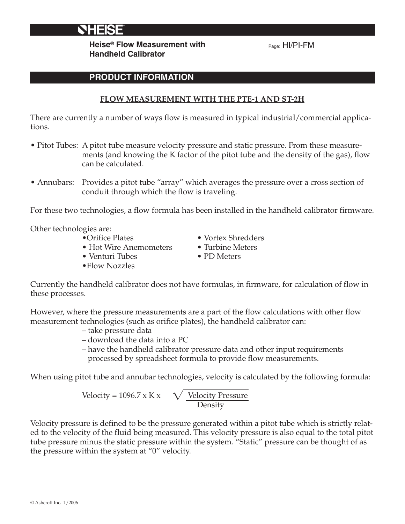**Heise® Flow Measurement with Handheld Calibrator**

Page: HI/PI-FM

## **PRODUCT INFORMATION**

## **FLOW MEASUREMENT WITH THE PTE-1 AND ST-2H**

There are currently a number of ways flow is measured in typical industrial/commercial applications.

- Pitot Tubes: A pitot tube measure velocity pressure and static pressure. From these measurements (and knowing the K factor of the pitot tube and the density of the gas), flow can be calculated.
- Annubars: Provides a pitot tube "array" which averages the pressure over a cross section of conduit through which the flow is traveling.

For these two technologies, a flow formula has been installed in the handheld calibrator firmware.

Other technologies are:

- 
- Hot Wire Anemometers Turbine Meters<br>• Venturi Tubes PD Meters
- $\bullet$  Venturi Tubes
- •Flow Nozzles
- Orifice Plates Vortex Shredders
	-
	-

Currently the handheld calibrator does not have formulas, in firmware, for calculation of flow in these processes.

However, where the pressure measurements are a part of the flow calculations with other flow measurement technologies (such as orifice plates), the handheld calibrator can:

- take pressure data
- download the data into a PC
- have the handheld calibrator pressure data and other input requirements processed by spreadsheet formula to provide flow measurements.

When using pitot tube and annubar technologies, velocity is calculated by the following formula:

Velocity = 1096.7 x K x  $\sqrt{\phantom{a}}$  Velocity Pressure Density

Velocity pressure is defined to be the pressure generated within a pitot tube which is strictly related to the velocity of the fluid being measured. This velocity pressure is also equal to the total pitot tube pressure minus the static pressure within the system. "Static" pressure can be thought of as the pressure within the system at "0" velocity.